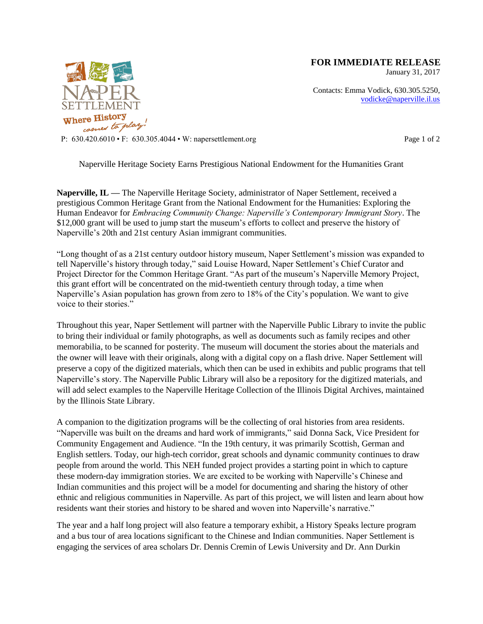

**FOR IMMEDIATE RELEASE**

January 31, 2017

Contacts: Emma Vodick, 630.305.5250, vodicke@naperville.il.us

P:  $630.420.6010 \cdot F$ :  $630.305.4044 \cdot W$ : napersettlement.org Page 1 of 2

Naperville Heritage Society Earns Prestigious National Endowment for the Humanities Grant

**Naperville, IL —** The Naperville Heritage Society, administrator of Naper Settlement, received a prestigious Common Heritage Grant from the National Endowment for the Humanities: Exploring the Human Endeavor for *Embracing Community Change: Naperville's Contemporary Immigrant Story*. The \$12,000 grant will be used to jump start the museum's efforts to collect and preserve the history of Naperville's 20th and 21st century Asian immigrant communities.

"Long thought of as a 21st century outdoor history museum, Naper Settlement's mission was expanded to tell Naperville's history through today," said Louise Howard, Naper Settlement's Chief Curator and Project Director for the Common Heritage Grant. "As part of the museum's Naperville Memory Project, this grant effort will be concentrated on the mid-twentieth century through today, a time when Naperville's Asian population has grown from zero to 18% of the City's population. We want to give voice to their stories."

Throughout this year, Naper Settlement will partner with the Naperville Public Library to invite the public to bring their individual or family photographs, as well as documents such as family recipes and other memorabilia, to be scanned for posterity. The museum will document the stories about the materials and the owner will leave with their originals, along with a digital copy on a flash drive. Naper Settlement will preserve a copy of the digitized materials, which then can be used in exhibits and public programs that tell Naperville's story. The Naperville Public Library will also be a repository for the digitized materials, and will add select examples to the Naperville Heritage Collection of the Illinois Digital Archives, maintained by the Illinois State Library.

A companion to the digitization programs will be the collecting of oral histories from area residents. "Naperville was built on the dreams and hard work of immigrants," said Donna Sack, Vice President for Community Engagement and Audience. "In the 19th century, it was primarily Scottish, German and English settlers. Today, our high-tech corridor, great schools and dynamic community continues to draw people from around the world. This NEH funded project provides a starting point in which to capture these modern-day immigration stories. We are excited to be working with Naperville's Chinese and Indian communities and this project will be a model for documenting and sharing the history of other ethnic and religious communities in Naperville. As part of this project, we will listen and learn about how residents want their stories and history to be shared and woven into Naperville's narrative."

The year and a half long project will also feature a temporary exhibit, a History Speaks lecture program and a bus tour of area locations significant to the Chinese and Indian communities. Naper Settlement is engaging the services of area scholars Dr. Dennis Cremin of Lewis University and Dr. Ann Durkin